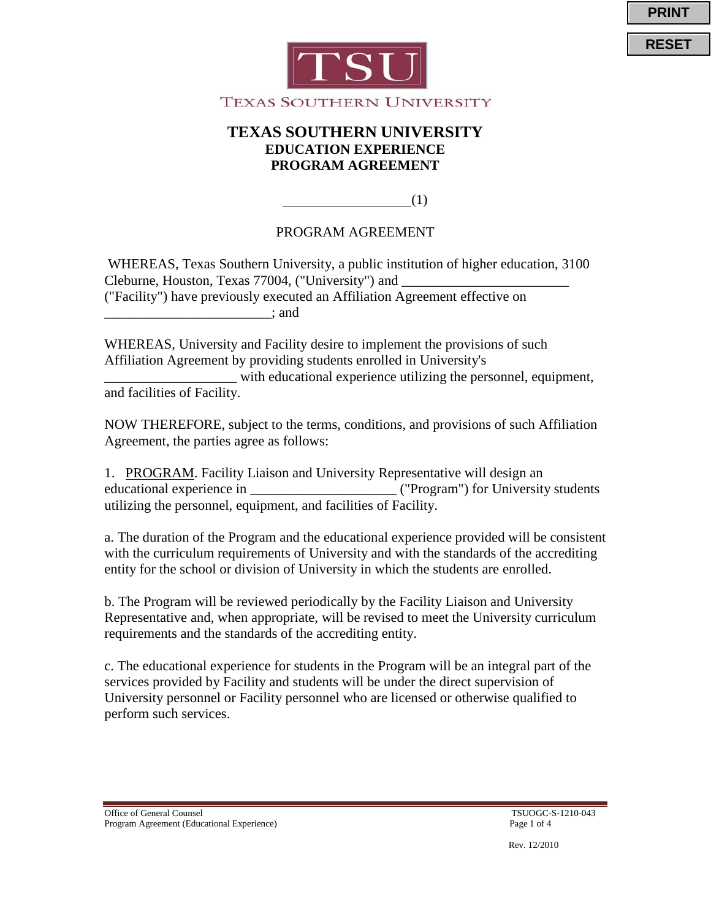





(1)

#### PROGRAM AGREEMENT

 $\overline{a}$ 

WHEREAS, Texas Southern University, a public institution of higher education, 3100 Cleburne, Houston, Texas 77004, ("University") and ("Facility") have previously executed an Affiliation Agreement effective on  $\therefore$  and

WHEREAS, University and Facility desire to implement the provisions of such Affiliation Agreement by providing students enrolled in University's \_\_\_\_\_\_\_\_\_\_\_\_\_\_\_\_\_\_\_ with educational experience utilizing the personnel, equipment,

and facilities of Facility.

NOW THEREFORE, subject to the terms, conditions, and provisions of such Affiliation Agreement, the parties agree as follows:

1. PROGRAM. Facility Liaison and University Representative will design an educational experience in \_\_\_\_\_\_\_\_\_\_\_\_\_\_\_\_\_\_\_\_\_ ("Program") for University students utilizing the personnel, equipment, and facilities of Facility.

a. The duration of the Program and the educational experience provided will be consistent with the curriculum requirements of University and with the standards of the accrediting entity for the school or division of University in which the students are enrolled.

b. The Program will be reviewed periodically by the Facility Liaison and University Representative and, when appropriate, will be revised to meet the University curriculum requirements and the standards of the accrediting entity.

c. The educational experience for students in the Program will be an integral part of the services provided by Facility and students will be under the direct supervision of University personnel or Facility personnel who are licensed or otherwise qualified to perform such services.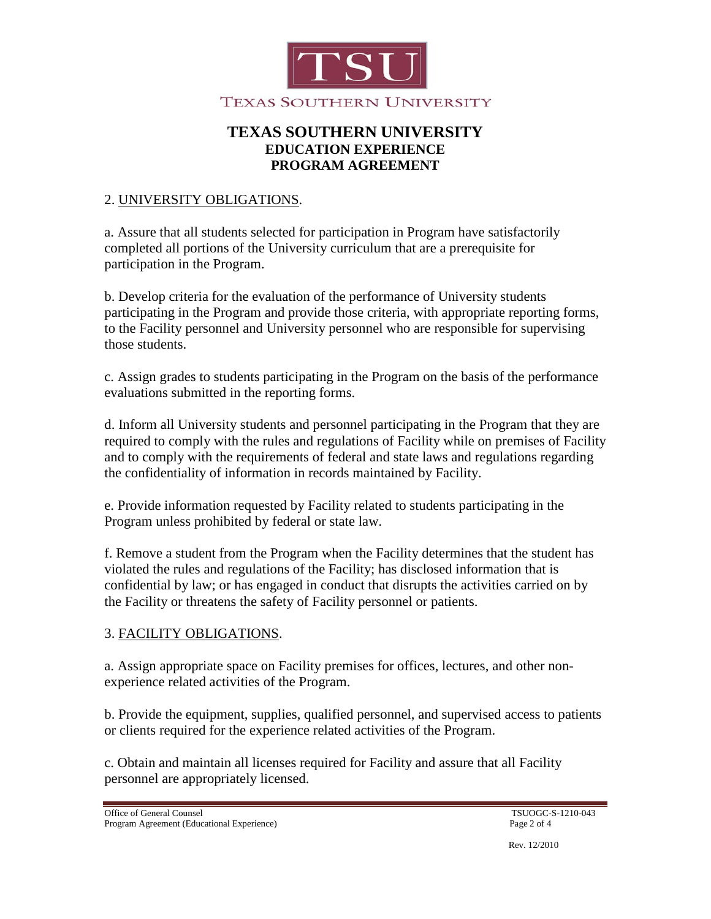

#### 2. UNIVERSITY OBLIGATIONS .

a. Assure that all students selected for participation in Program have satisfactorily completed all portions of the University curriculum that are a prerequisite for participation in the Program.

b. Develop criteria for the evaluation of the performance of University students participating in the Program and provide those criteria, with appropriate reporting forms, to the Facility personnel and University personnel who are responsible for supervising those students.

c. Assign grades to students participating in the Program on the basis of the performance evaluations submitted in the reporting forms.

d. Inform all University students and personnel participating in the Program that they are required to comply with the rules and regulations of Facility while on premises of Facility and to comply with the requirements of federal and state laws and regulations regarding the confidentiality of information in records maintained by Facility.

e. Provide information requested by Facility related to students participating in the Program unless prohibited by federal or state law.

f. Remove a student from the Program when the Facility determines that the student has violated the rules and regulations of the Facility; has disclosed information that is confidential by law; or has engaged in conduct that disrupts the activities carried on by the Facility or threatens the safety of Facility personnel or patients.

## 3. FACILITY OBLIGATIONS .

a. Assign appropriate space on Facility premises for offices, lectures, and other nonexperience related activities of the Program.

b. Provide the equipment, supplies, qualified personnel, and supervised access to patients or clients required for the experience related activities of the Program.

c. Obtain and maintain all licenses required for Facility and assure that all Facility personnel are appropriately licensed.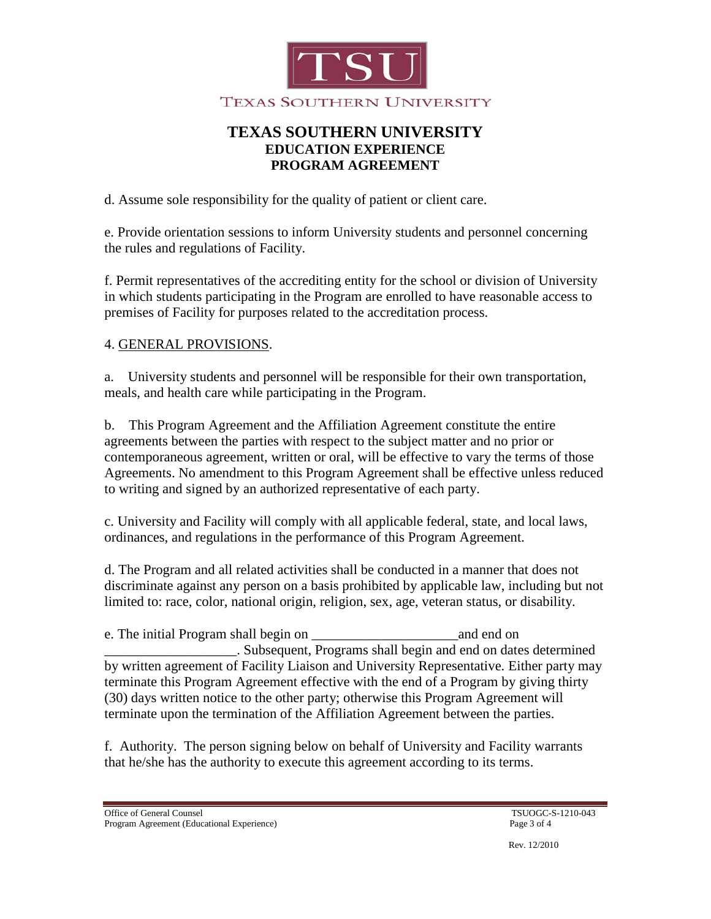

d. Assume sole responsibility for the quality of patient or client care.

e. Provide orientation sessions to inform University students and personnel concerning the rules and regulations of Facility.

f. Permit representatives of the accrediting entity for the school or division of University in which students participating in the Program are enrolled to have reasonable access to premises of Facility for purposes related to the accreditation process.

## 4. GENERAL PROVISIONS .

a. University students and personnel will be responsible for their own transportation, meals, and health care while participating in the Program.

b. This Program Agreement and the Affiliation Agreement constitute the entire agreements between the parties with respect to the subject matter and no prior or contemporaneous agreement, written or oral, will be effective to vary the terms of those Agreements. No amendment to this Program Agreement shall be effective unless reduced to writing and signed by an authorized representative of each party.

c. University and Facility will comply with all applicable federal, state, and local laws, ordinances, and regulations in the performance of this Program Agreement.

d. The Program and all related activities shall be conducted in a manner that does not discriminate against any person on a basis prohibited by applicable law, including but not limited to: race, color, national origin, religion, sex, age, veteran status, or disability.

e. The initial Program shall begin on  $\Box$  and end on  $\Box$ \_\_\_\_\_\_\_\_\_\_\_\_\_\_\_\_\_\_\_. Subsequent, Programs shall begin and end on dates determined by written agreement of Facility Liaison and University Representative. Either party may terminate this Program Agreement effective with the end of a Program by giving thirty (30) days written notice to the other party; otherwise this Program Agreement will terminate upon the termination of the Affiliation Agreement between the parties.

f. Authority. The person signing below on behalf of University and Facility warrants that he/she has the authority to execute this agreement according to its terms.